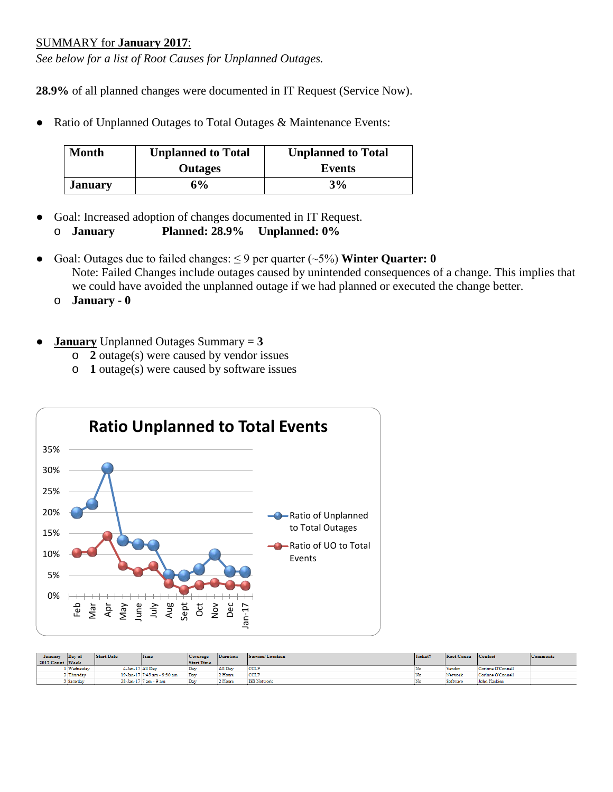## SUMMARY for **January 2017**:

*See below for a list of Root Causes for Unplanned Outages.*

**28.9%** of all planned changes were documented in IT Request (Service Now).

● Ratio of Unplanned Outages to Total Outages & Maintenance Events:

| <b>Month</b>   | <b>Unplanned to Total</b> | <b>Unplanned to Total</b> |
|----------------|---------------------------|---------------------------|
|                | <b>Outages</b>            | Events                    |
| <b>January</b> | 6%                        | 3%                        |

- Goal: Increased adoption of changes documented in IT Request.
	- o **January Planned: 28.9% Unplanned: 0%**
- Goal: Outages due to failed changes:  $\leq$  9 per quarter  $(\sim$  5%) Winter Quarter: 0 Note: Failed Changes include outages caused by unintended consequences of a change. This implies that we could have avoided the unplanned outage if we had planned or executed the change better.
	- o **January - 0**
- **January** Unplanned Outages Summary  $= 3$ 
	- o **2** outage(s) were caused by vendor issues
	- o **1** outage(s) were caused by software issues



| January         | Day of    | <b>Start Date</b> | Time                        | Coverage          | <b>Duration</b> | Service/Location   | Ticket? | Root Cause Contact |                   | <b>Comments</b> |
|-----------------|-----------|-------------------|-----------------------------|-------------------|-----------------|--------------------|---------|--------------------|-------------------|-----------------|
| 2017 Count Week |           |                   |                             | <b>Start Time</b> |                 |                    |         |                    |                   |                 |
|                 | Wednesday | 4-Jan-17 All Dav  |                             | Dav               | All Dav         | <b>CCLP</b>        |         | Vendor             | Corinne O'Connell |                 |
|                 | Thursday  |                   | 19-Jan-17 7:45 am - 9:30 am | Day               | 2 Hours         | <b>CCLP</b>        |         | Network            | Corinne O'Connell |                 |
|                 | Saturday  | 28-Jan-17         | 17 am - 9 am                | Day               | 2 Hours         | <b>ISB</b> Network |         | Software           | John Haskins      |                 |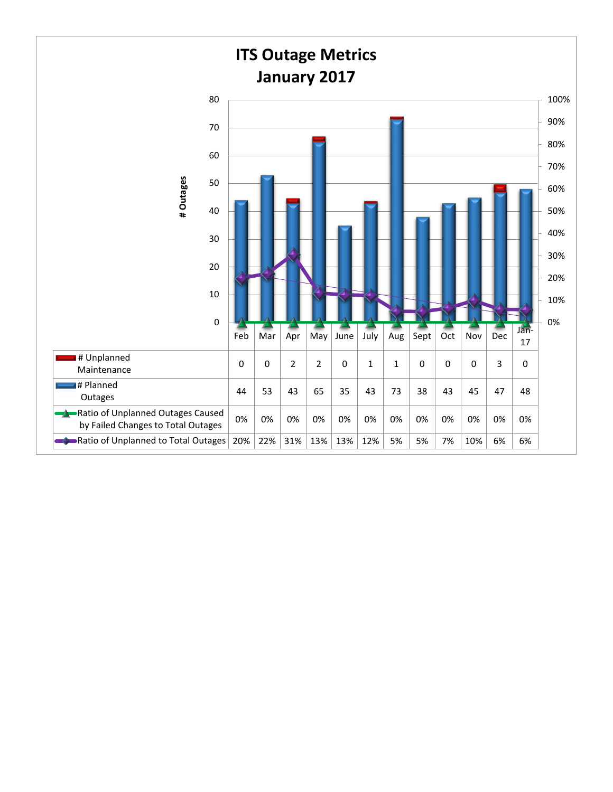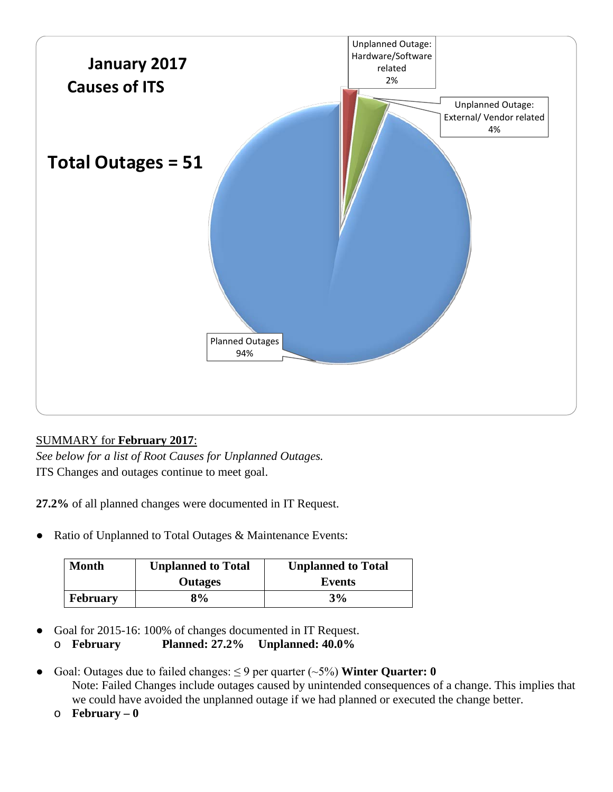

## SUMMARY for **February 2017**:

*See below for a list of Root Causes for Unplanned Outages.* ITS Changes and outages continue to meet goal.

**27.2%** of all planned changes were documented in IT Request.

• Ratio of Unplanned to Total Outages & Maintenance Events:

| Month           | <b>Unplanned to Total</b> | <b>Unplanned to Total</b> |
|-----------------|---------------------------|---------------------------|
|                 | <b>Outages</b>            | Events                    |
| <b>February</b> | 8%                        | 3%                        |

● Goal for 2015-16: 100% of changes documented in IT Request.

o **February Planned: 27.2% Unplanned: 40.0%**

- Goal: Outages due to failed changes:  $\leq$  9 per quarter ( $\sim$ 5%) **Winter Quarter: 0** Note: Failed Changes include outages caused by unintended consequences of a change. This implies that we could have avoided the unplanned outage if we had planned or executed the change better.
	- o **February – 0**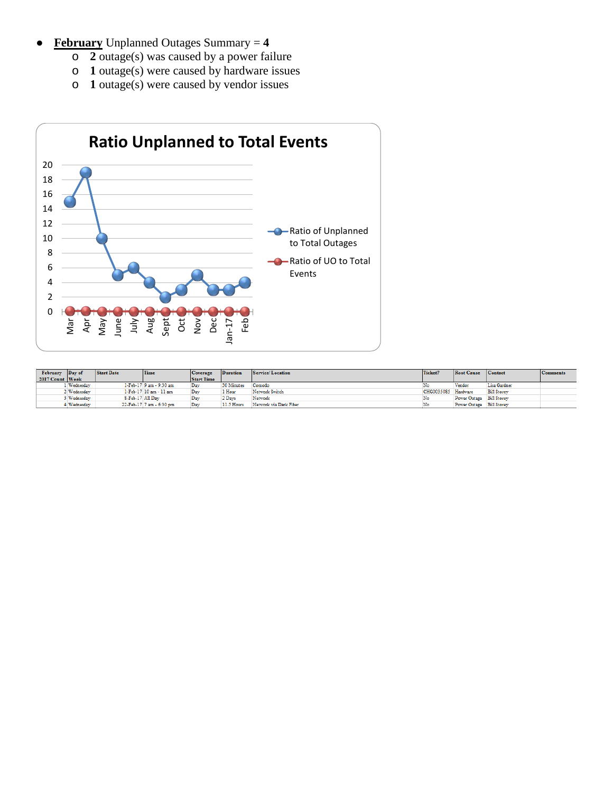- **February** Unplanned Outages Summary = **4**
	- o **2** outage(s) was caused by a power failure
	- o **1** outage(s) were caused by hardware issues
	- o **1** outage(s) were caused by vendor issues



| February Day of |             | Start Date       | <b>Time</b>              | Coverage          | Duration   | Service/Location       | Ticket?             | Root Cause Contact       |                    | Comments |
|-----------------|-------------|------------------|--------------------------|-------------------|------------|------------------------|---------------------|--------------------------|--------------------|----------|
| 2017 Count Week |             |                  |                          | <b>Start Time</b> |            |                        |                     |                          |                    |          |
|                 | Wednesday   |                  | 1-Feb-17 9 am - 9:30 am  | Day               | 30 Minutes | Comodo                 |                     | Vendor                   | Lisa Gardner       |          |
|                 | Wednesday   |                  | 1-Feb-17 10 am - 11 am   | Day               | l Hour     | Network Switch         | CHG0035085 Hardware |                          | <b>Bill Storey</b> |          |
|                 | Wednesday   | 8-Feb-17 All Day |                          | Day               | 2 Days     | Network                | No                  | Power Outage Bill Storey |                    |          |
|                 | 4 Wednesday |                  | 22-Feb-17 7 am - 6:30 pm | Day               | 11.5 Hours | Network via Dark Fiber | No                  | Power Outage Bill Storey |                    |          |
|                 |             |                  |                          |                   |            |                        |                     |                          |                    |          |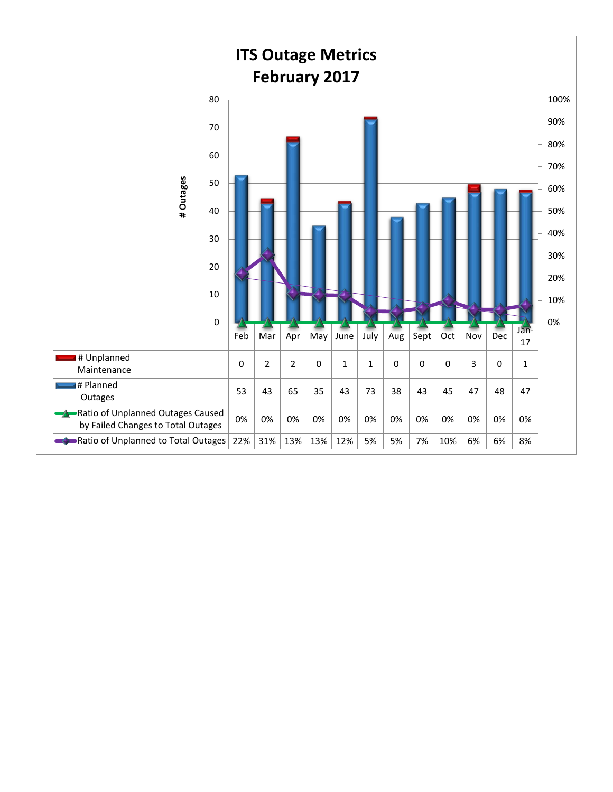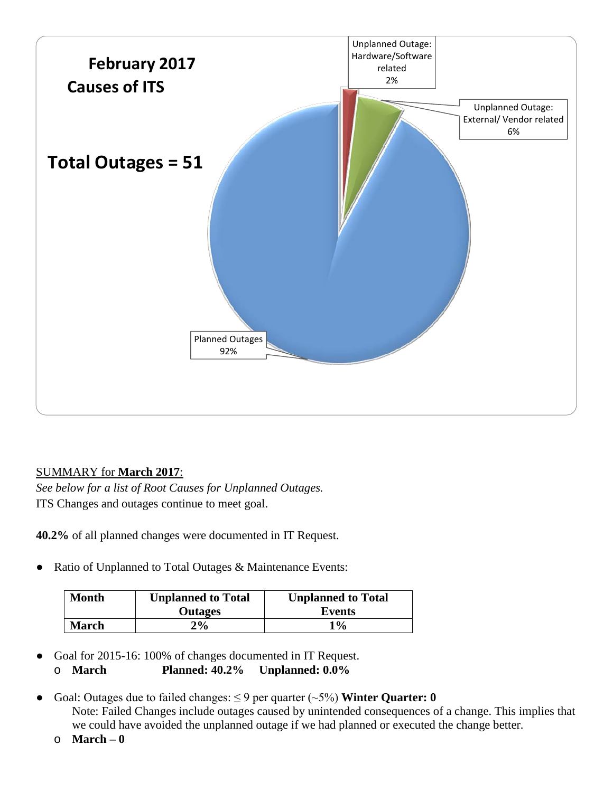

## SUMMARY for **March 2017**:

*See below for a list of Root Causes for Unplanned Outages.* ITS Changes and outages continue to meet goal.

**40.2%** of all planned changes were documented in IT Request.

Ratio of Unplanned to Total Outages & Maintenance Events:

| Month        | <b>Unplanned to Total</b> | <b>Unplanned to Total</b> |
|--------------|---------------------------|---------------------------|
|              | <b>Outages</b>            | Events                    |
| <b>March</b> | $2\%$                     | 1%                        |

- Goal for 2015-16: 100% of changes documented in IT Request. o **March Planned: 40.2% Unplanned: 0.0%**
- Goal: Outages due to failed changes:  $\leq$  9 per quarter ( $\sim$ 5%) **Winter Quarter: 0** Note: Failed Changes include outages caused by unintended consequences of a change. This implies that we could have avoided the unplanned outage if we had planned or executed the change better.
	- o **March – 0**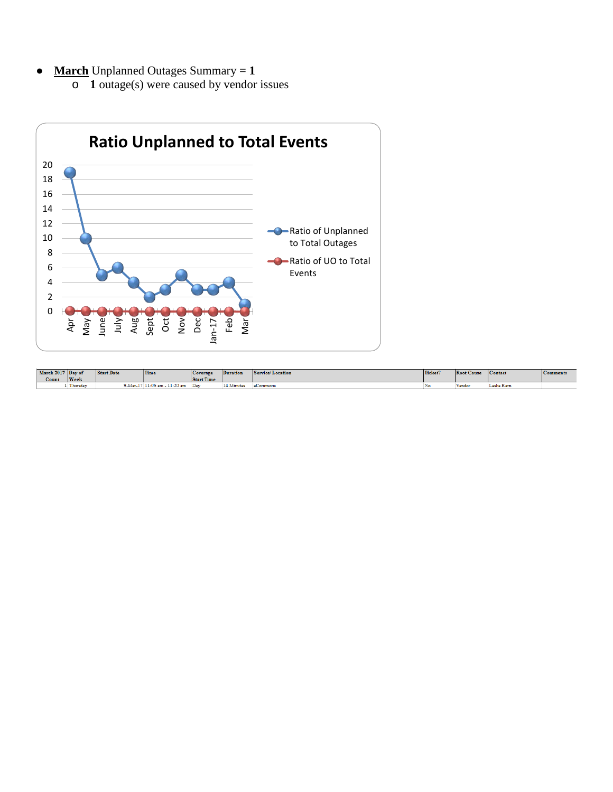- **March** Unplanned Outages Summary  $= 1$ 
	- o **1** outage(s) were caused by vendor issues



| March 2017 Day of<br>Count | <b>Week</b>                | <b>Start Date</b> | Time                      | <b>Coverage</b><br><b>Start Time</b> | Duration   | vrvice/Location<br>Ser. | Ticket? | <b>Root Cause</b> | <b>Contact</b> | <b>Comments</b> |
|----------------------------|----------------------------|-------------------|---------------------------|--------------------------------------|------------|-------------------------|---------|-------------------|----------------|-----------------|
|                            | <b>COMPANY</b><br>Thursday | $9$ -Mar-17       | $-11:20$ am<br>$11:06$ am | Dav                                  | '4 Minutes | eCommons                | .NG     | Vendos            | Leslie Kern    |                 |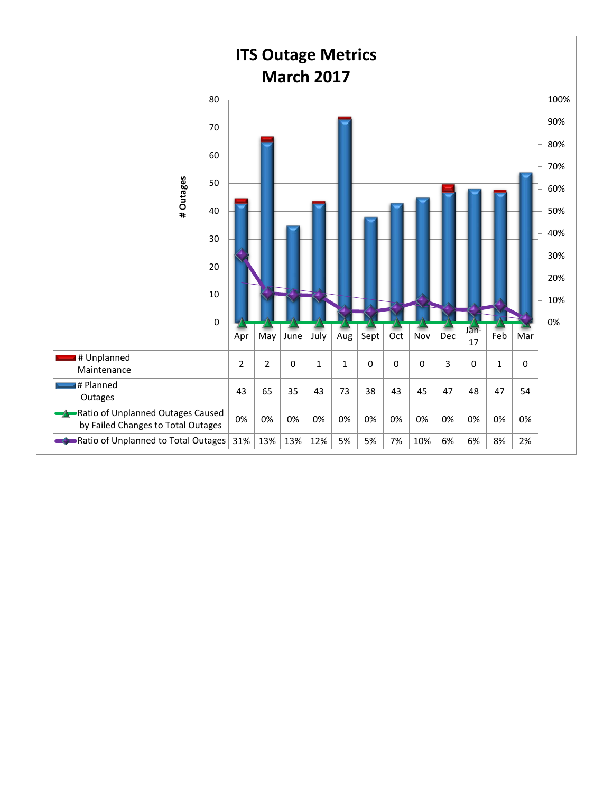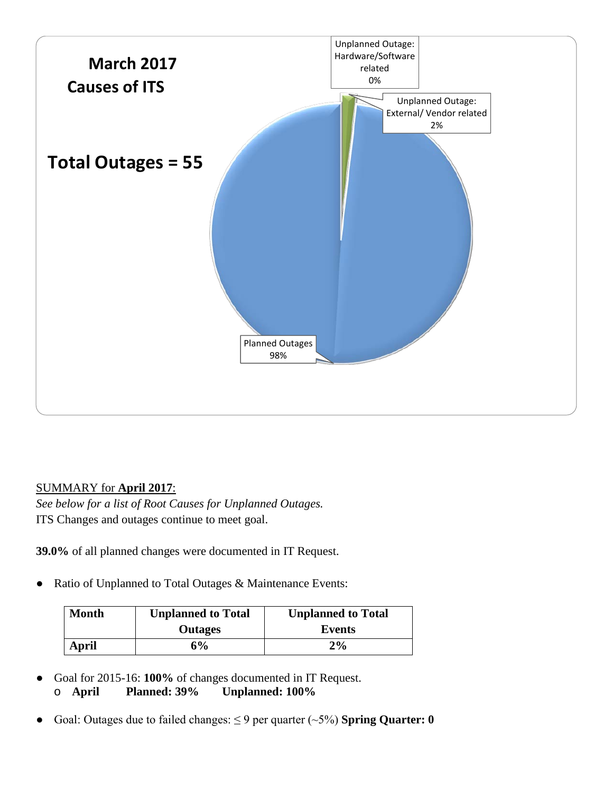

## SUMMARY for **April 2017**:

*See below for a list of Root Causes for Unplanned Outages.* ITS Changes and outages continue to meet goal.

**39.0%** of all planned changes were documented in IT Request.

Ratio of Unplanned to Total Outages & Maintenance Events:

| <b>Month</b> | <b>Unplanned to Total</b> | <b>Unplanned to Total</b> |
|--------------|---------------------------|---------------------------|
|              | <b>Outages</b>            | Events                    |
| April        | 6%                        | $2\%$                     |

- Goal for 2015-16: **100%** of changes documented in IT Request. o **April Planned: 39% Unplanned: 100%**
- Goal: Outages due to failed changes:  $\leq$  9 per quarter ( $\sim$ 5%) **Spring Quarter: 0**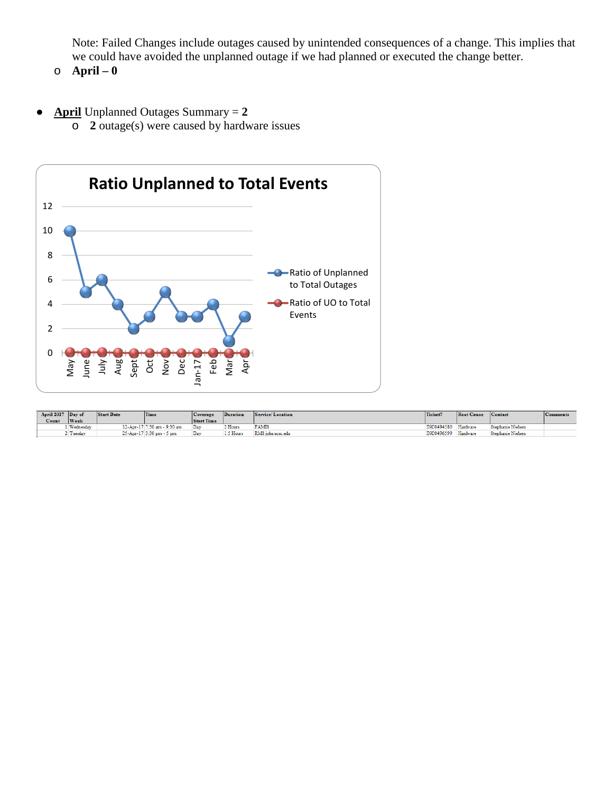Note: Failed Changes include outages caused by unintended consequences of a change. This implies that we could have avoided the unplanned outage if we had planned or executed the change better.

- o **April – 0**
- **April** Unplanned Outages Summary = **2** o **2** outage(s) were caused by hardware issues



| April 2017 Day of |             | <b>Start Date</b> | Time                        | Coverage          | Duration | Service/Location  | Ticket?    | <b>Root Cause</b> | <b>Contact</b>    | <b>Comments</b> |
|-------------------|-------------|-------------------|-----------------------------|-------------------|----------|-------------------|------------|-------------------|-------------------|-----------------|
| Count             | <b>Week</b> |                   |                             | <b>Start Time</b> |          |                   |            |                   |                   |                 |
|                   | Wednesday   |                   | 12-Apr-17 7:30 am - 9:30 am | Dav               | ? Hours  | <b>FAMIS</b>      | INC0494580 | Hardware          | Stephanie Nielsen |                 |
|                   | Tuesday     |                   | 25-Apr-17 3:30 pm - 5 pm    | Day               | 5 Hours  | RMS jobs.ucsc.edu | INC0496599 | Hardware          | Stephanie Nielsen |                 |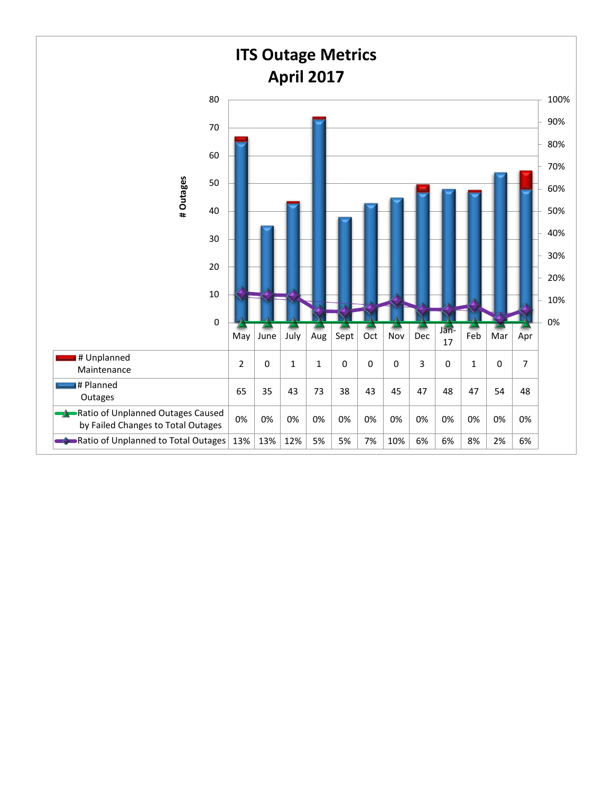